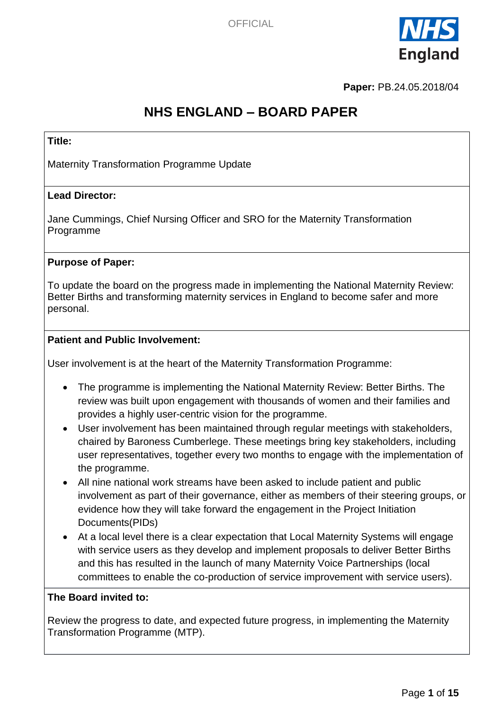

**Paper:** PB.24.05.2018/04

# **NHS ENGLAND – BOARD PAPER**

#### **Title:**

Maternity Transformation Programme Update

#### **Lead Director:**

Jane Cummings, Chief Nursing Officer and SRO for the Maternity Transformation Programme

#### **Purpose of Paper:**

To update the board on the progress made in implementing the National Maternity Review: Better Births and transforming maternity services in England to become safer and more personal.

#### **Patient and Public Involvement:**

User involvement is at the heart of the Maternity Transformation Programme:

- The programme is implementing the National Maternity Review: Better Births. The review was built upon engagement with thousands of women and their families and provides a highly user-centric vision for the programme.
- User involvement has been maintained through regular meetings with stakeholders, chaired by Baroness Cumberlege. These meetings bring key stakeholders, including user representatives, together every two months to engage with the implementation of the programme.
- All nine national work streams have been asked to include patient and public involvement as part of their governance, either as members of their steering groups, or evidence how they will take forward the engagement in the Project Initiation Documents(PIDs)
- At a local level there is a clear expectation that Local Maternity Systems will engage with service users as they develop and implement proposals to deliver Better Births and this has resulted in the launch of many Maternity Voice Partnerships (local committees to enable the co-production of service improvement with service users).

#### **The Board invited to:**

Review the progress to date, and expected future progress, in implementing the Maternity Transformation Programme (MTP).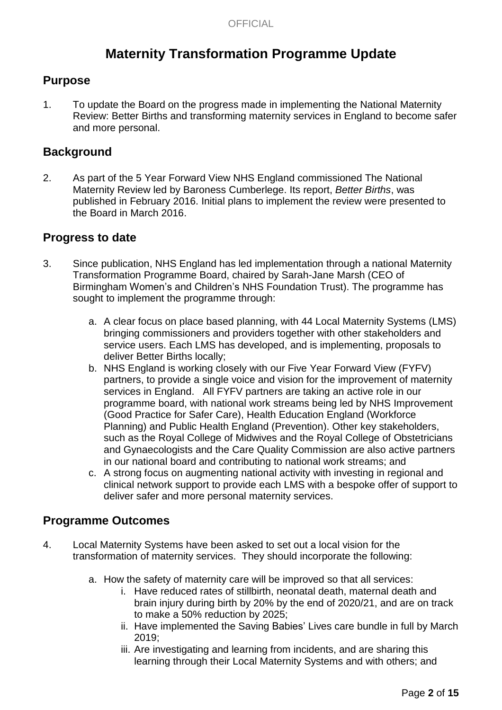# **Maternity Transformation Programme Update**

## **Purpose**

1. To update the Board on the progress made in implementing the National Maternity Review: Better Births and transforming maternity services in England to become safer and more personal.

## **Background**

2. As part of the 5 Year Forward View NHS England commissioned The National Maternity Review led by Baroness Cumberlege. Its report, *Better Births*, was published in February 2016. Initial plans to implement the review were presented to the Board in March 2016.

### **Progress to date**

- 3. Since publication, NHS England has led implementation through a national Maternity Transformation Programme Board, chaired by Sarah-Jane Marsh (CEO of Birmingham Women's and Children's NHS Foundation Trust). The programme has sought to implement the programme through:
	- a. A clear focus on place based planning, with 44 Local Maternity Systems (LMS) bringing commissioners and providers together with other stakeholders and service users. Each LMS has developed, and is implementing, proposals to deliver Better Births locally;
	- b. NHS England is working closely with our Five Year Forward View (FYFV) partners, to provide a single voice and vision for the improvement of maternity services in England. All FYFV partners are taking an active role in our programme board, with national work streams being led by NHS Improvement (Good Practice for Safer Care), Health Education England (Workforce Planning) and Public Health England (Prevention). Other key stakeholders, such as the Royal College of Midwives and the Royal College of Obstetricians and Gynaecologists and the Care Quality Commission are also active partners in our national board and contributing to national work streams; and
	- c. A strong focus on augmenting national activity with investing in regional and clinical network support to provide each LMS with a bespoke offer of support to deliver safer and more personal maternity services.

## **Programme Outcomes**

- 4. Local Maternity Systems have been asked to set out a local vision for the transformation of maternity services. They should incorporate the following:
	- a. How the safety of maternity care will be improved so that all services:
		- i. Have reduced rates of stillbirth, neonatal death, maternal death and brain injury during birth by 20% by the end of 2020/21, and are on track to make a 50% reduction by 2025;
		- ii. Have implemented the Saving Babies' Lives care bundle in full by March 2019;
		- iii. Are investigating and learning from incidents, and are sharing this learning through their Local Maternity Systems and with others; and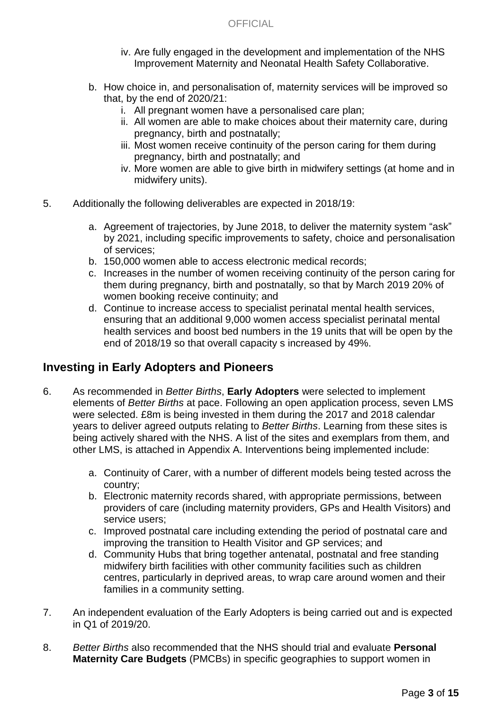- iv. Are fully engaged in the development and implementation of the NHS Improvement Maternity and Neonatal Health Safety Collaborative.
- b. How choice in, and personalisation of, maternity services will be improved so that, by the end of 2020/21:
	- i. All pregnant women have a personalised care plan;
	- ii. All women are able to make choices about their maternity care, during pregnancy, birth and postnatally;
	- iii. Most women receive continuity of the person caring for them during pregnancy, birth and postnatally; and
	- iv. More women are able to give birth in midwifery settings (at home and in midwifery units).
- 5. Additionally the following deliverables are expected in 2018/19:
	- a. Agreement of trajectories, by June 2018, to deliver the maternity system "ask" by 2021, including specific improvements to safety, choice and personalisation of services;
	- b. 150,000 women able to access electronic medical records;
	- c. Increases in the number of women receiving continuity of the person caring for them during pregnancy, birth and postnatally, so that by March 2019 20% of women booking receive continuity; and
	- d. Continue to increase access to specialist perinatal mental health services, ensuring that an additional 9,000 women access specialist perinatal mental health services and boost bed numbers in the 19 units that will be open by the end of 2018/19 so that overall capacity s increased by 49%.

## **Investing in Early Adopters and Pioneers**

- 6. As recommended in *Better Births*, **Early Adopters** were selected to implement elements of *Better Births* at pace. Following an open application process, seven LMS were selected. £8m is being invested in them during the 2017 and 2018 calendar years to deliver agreed outputs relating to *Better Births*. Learning from these sites is being actively shared with the NHS. A list of the sites and exemplars from them, and other LMS, is attached in Appendix A. Interventions being implemented include:
	- a. Continuity of Carer, with a number of different models being tested across the country;
	- b. Electronic maternity records shared, with appropriate permissions, between providers of care (including maternity providers, GPs and Health Visitors) and service users;
	- c. Improved postnatal care including extending the period of postnatal care and improving the transition to Health Visitor and GP services; and
	- d. Community Hubs that bring together antenatal, postnatal and free standing midwifery birth facilities with other community facilities such as children centres, particularly in deprived areas, to wrap care around women and their families in a community setting.
- 7. An independent evaluation of the Early Adopters is being carried out and is expected in Q1 of 2019/20.
- 8. *Better Births* also recommended that the NHS should trial and evaluate **Personal Maternity Care Budgets** (PMCBs) in specific geographies to support women in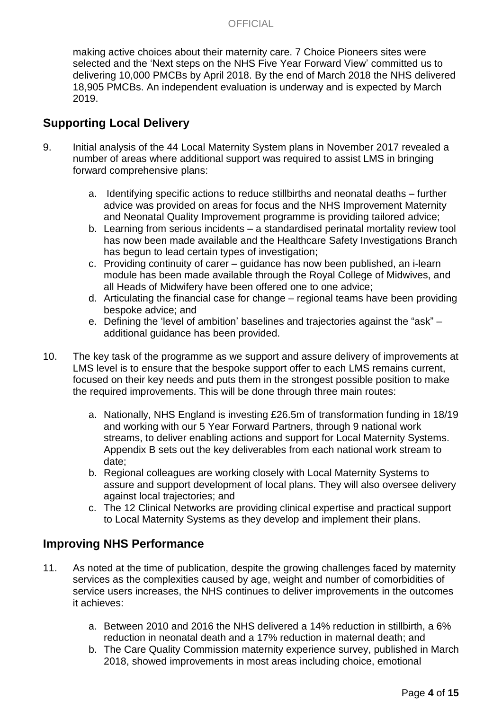making active choices about their maternity care. 7 Choice Pioneers sites were selected and the 'Next steps on the NHS Five Year Forward View' committed us to delivering 10,000 PMCBs by April 2018. By the end of March 2018 the NHS delivered 18,905 PMCBs. An independent evaluation is underway and is expected by March 2019.

## **Supporting Local Delivery**

- 9. Initial analysis of the 44 Local Maternity System plans in November 2017 revealed a number of areas where additional support was required to assist LMS in bringing forward comprehensive plans:
	- a. Identifying specific actions to reduce stillbirths and neonatal deaths further advice was provided on areas for focus and the NHS Improvement Maternity and Neonatal Quality Improvement programme is providing tailored advice;
	- b. Learning from serious incidents a standardised perinatal mortality review tool has now been made available and the Healthcare Safety Investigations Branch has begun to lead certain types of investigation;
	- c. Providing continuity of carer guidance has now been published, an i-learn module has been made available through the Royal College of Midwives, and all Heads of Midwifery have been offered one to one advice;
	- d. Articulating the financial case for change regional teams have been providing bespoke advice; and
	- e. Defining the 'level of ambition' baselines and trajectories against the "ask" additional guidance has been provided.
- 10. The key task of the programme as we support and assure delivery of improvements at LMS level is to ensure that the bespoke support offer to each LMS remains current, focused on their key needs and puts them in the strongest possible position to make the required improvements. This will be done through three main routes:
	- a. Nationally, NHS England is investing £26.5m of transformation funding in 18/19 and working with our 5 Year Forward Partners, through 9 national work streams, to deliver enabling actions and support for Local Maternity Systems. Appendix B sets out the key deliverables from each national work stream to date;
	- b. Regional colleagues are working closely with Local Maternity Systems to assure and support development of local plans. They will also oversee delivery against local trajectories; and
	- c. The 12 Clinical Networks are providing clinical expertise and practical support to Local Maternity Systems as they develop and implement their plans.

## **Improving NHS Performance**

- 11. As noted at the time of publication, despite the growing challenges faced by maternity services as the complexities caused by age, weight and number of comorbidities of service users increases, the NHS continues to deliver improvements in the outcomes it achieves:
	- a. Between 2010 and 2016 the NHS delivered a 14% reduction in stillbirth, a 6% reduction in neonatal death and a 17% reduction in maternal death; and
	- b. The Care Quality Commission maternity experience survey, published in March 2018, showed improvements in most areas including choice, emotional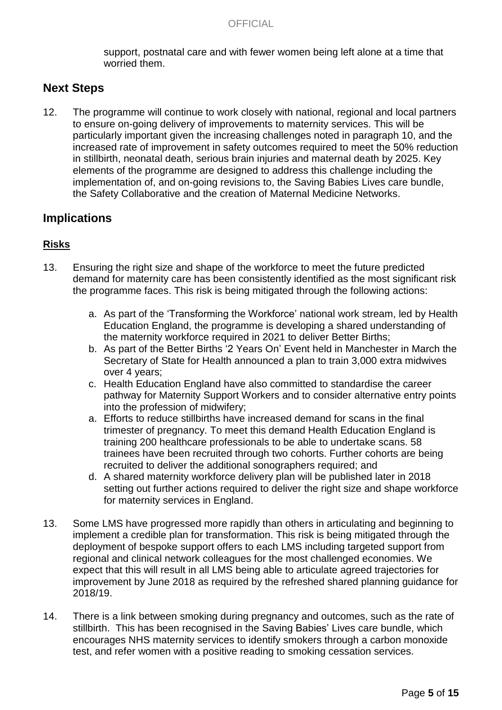support, postnatal care and with fewer women being left alone at a time that worried them.

## **Next Steps**

12. The programme will continue to work closely with national, regional and local partners to ensure on-going delivery of improvements to maternity services. This will be particularly important given the increasing challenges noted in paragraph 10, and the increased rate of improvement in safety outcomes required to meet the 50% reduction in stillbirth, neonatal death, serious brain injuries and maternal death by 2025. Key elements of the programme are designed to address this challenge including the implementation of, and on-going revisions to, the Saving Babies Lives care bundle, the Safety Collaborative and the creation of Maternal Medicine Networks.

## **Implications**

#### **Risks**

- 13. Ensuring the right size and shape of the workforce to meet the future predicted demand for maternity care has been consistently identified as the most significant risk the programme faces. This risk is being mitigated through the following actions:
	- a. As part of the 'Transforming the Workforce' national work stream, led by Health Education England, the programme is developing a shared understanding of the maternity workforce required in 2021 to deliver Better Births;
	- b. As part of the Better Births '2 Years On' Event held in Manchester in March the Secretary of State for Health announced a plan to train 3,000 extra midwives over 4 years;
	- c. Health Education England have also committed to standardise the career pathway for Maternity Support Workers and to consider alternative entry points into the profession of midwifery;
	- a. Efforts to reduce stillbirths have increased demand for scans in the final trimester of pregnancy. To meet this demand Health Education England is training 200 healthcare professionals to be able to undertake scans. 58 trainees have been recruited through two cohorts. Further cohorts are being recruited to deliver the additional sonographers required; and
	- d. A shared maternity workforce delivery plan will be published later in 2018 setting out further actions required to deliver the right size and shape workforce for maternity services in England.
- 13. Some LMS have progressed more rapidly than others in articulating and beginning to implement a credible plan for transformation. This risk is being mitigated through the deployment of bespoke support offers to each LMS including targeted support from regional and clinical network colleagues for the most challenged economies. We expect that this will result in all LMS being able to articulate agreed trajectories for improvement by June 2018 as required by the refreshed shared planning guidance for 2018/19.
- 14. There is a link between smoking during pregnancy and outcomes, such as the rate of stillbirth. This has been recognised in the Saving Babies' Lives care bundle, which encourages NHS maternity services to identify smokers through a carbon monoxide test, and refer women with a positive reading to smoking cessation services.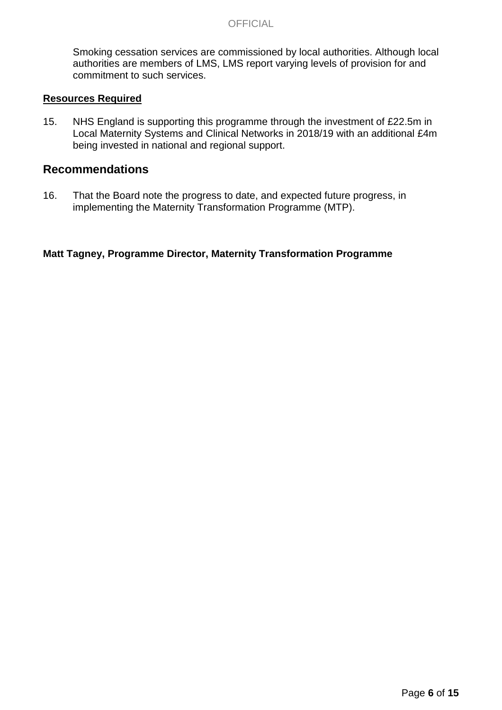#### **OFFICIAL**

Smoking cessation services are commissioned by local authorities. Although local authorities are members of LMS, LMS report varying levels of provision for and commitment to such services.

#### **Resources Required**

15. NHS England is supporting this programme through the investment of £22.5m in Local Maternity Systems and Clinical Networks in 2018/19 with an additional £4m being invested in national and regional support.

#### **Recommendations**

16. That the Board note the progress to date, and expected future progress, in implementing the Maternity Transformation Programme (MTP).

#### **Matt Tagney, Programme Director, Maternity Transformation Programme**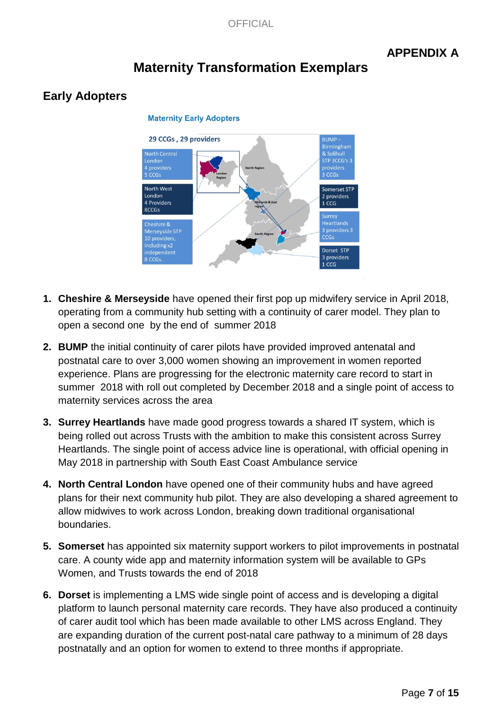## **APPENDIX A**

# **Maternity Transformation Exemplars**

## **Early Adopters**



### **Maternity Early Adopters**

- **1. Cheshire & Merseyside** have opened their first pop up midwifery service in April 2018, operating from a community hub setting with a continuity of carer model. They plan to open a second one by the end of summer 2018
- **2. BUMP** the initial continuity of carer pilots have provided improved antenatal and postnatal care to over 3,000 women showing an improvement in women reported experience. Plans are progressing for the electronic maternity care record to start in summer 2018 with roll out completed by December 2018 and a single point of access to maternity services across the area
- **3. Surrey Heartlands** have made good progress towards a shared IT system, which is being rolled out across Trusts with the ambition to make this consistent across Surrey Heartlands. The single point of access advice line is operational, with official opening in May 2018 in partnership with South East Coast Ambulance service
- **4. North Central London** have opened one of their community hubs and have agreed plans for their next community hub pilot. They are also developing a shared agreement to allow midwives to work across London, breaking down traditional organisational boundaries.
- **5. Somerset** has appointed six maternity support workers to pilot improvements in postnatal care. A county wide app and maternity information system will be available to GPs Women, and Trusts towards the end of 2018
- **6. Dorset** is implementing a LMS wide single point of access and is developing a digital platform to launch personal maternity care records. They have also produced a continuity of carer audit tool which has been made available to other LMS across England. They are expanding duration of the current post-natal care pathway to a minimum of 28 days postnatally and an option for women to extend to three months if appropriate.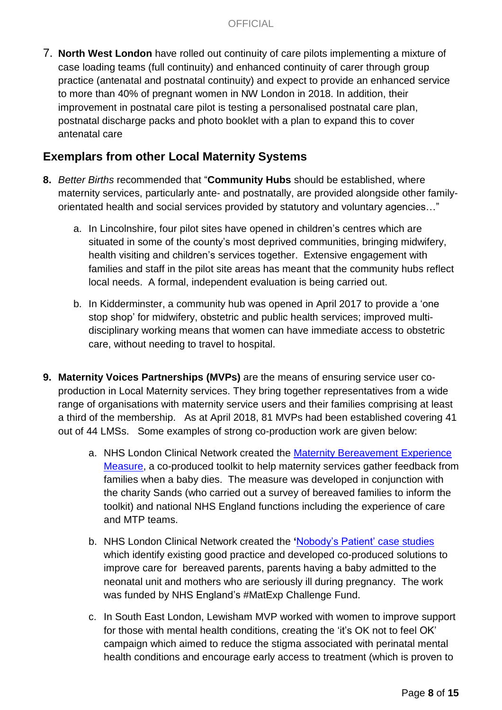7. **North West London** have rolled out continuity of care pilots implementing a mixture of case loading teams (full continuity) and enhanced continuity of carer through group practice (antenatal and postnatal continuity) and expect to provide an enhanced service to more than 40% of pregnant women in NW London in 2018. In addition, their improvement in postnatal care pilot is testing a personalised postnatal care plan, postnatal discharge packs and photo booklet with a plan to expand this to cover antenatal care

## **Exemplars from other Local Maternity Systems**

- **8.** *Better Births* recommended that "**Community Hubs** should be established, where maternity services, particularly ante- and postnatally, are provided alongside other familyorientated health and social services provided by statutory and voluntary agencies…"
	- a. In Lincolnshire, four pilot sites have opened in children's centres which are situated in some of the county's most deprived communities, bringing midwifery, health visiting and children's services together. Extensive engagement with families and staff in the pilot site areas has meant that the community hubs reflect local needs. A formal, independent evaluation is being carried out.
	- b. In Kidderminster, a community hub was opened in April 2017 to provide a 'one stop shop' for midwifery, obstetric and public health services; improved multidisciplinary working means that women can have immediate access to obstetric care, without needing to travel to hospital.
- **9. Maternity Voices Partnerships (MVPs)** are the means of ensuring service user coproduction in Local Maternity services. They bring together representatives from a wide range of organisations with maternity service users and their families comprising at least a third of the membership. As at April 2018, 81 MVPs had been established covering 41 out of 44 LMSs. Some examples of strong co-production work are given below:
	- a. NHS London Clinical Network created the Maternity [Bereavement](http://www.londonscn.nhs.uk/publication/gathering-feedback-from-families-following-the-death-of-their-baby/) Experience [Measure,](http://www.londonscn.nhs.uk/publication/gathering-feedback-from-families-following-the-death-of-their-baby/) a co-produced toolkit to help maternity services gather feedback from families when a baby dies. The measure was developed in conjunction with the charity Sands (who carried out a survey of bereaved families to inform the toolkit) and national NHS England functions including the experience of care and MTP teams.
	- b. NHS London Clinical Network created the **'**[Nobody's](http://www.londonscn.nhs.uk/publication/co-producing-maternity-solutions-case-studies/) Patient' case studies which identify existing good practice and developed co-produced solutions to improve care for bereaved parents, parents having a baby admitted to the neonatal unit and mothers who are seriously ill during pregnancy. The work was funded by NHS England's #MatExp Challenge Fund.
	- c. In South East London, Lewisham MVP worked with women to improve support for those with mental health conditions, creating the 'it's OK not to feel OK' campaign which aimed to reduce the stigma associated with perinatal mental health conditions and encourage early access to treatment (which is proven to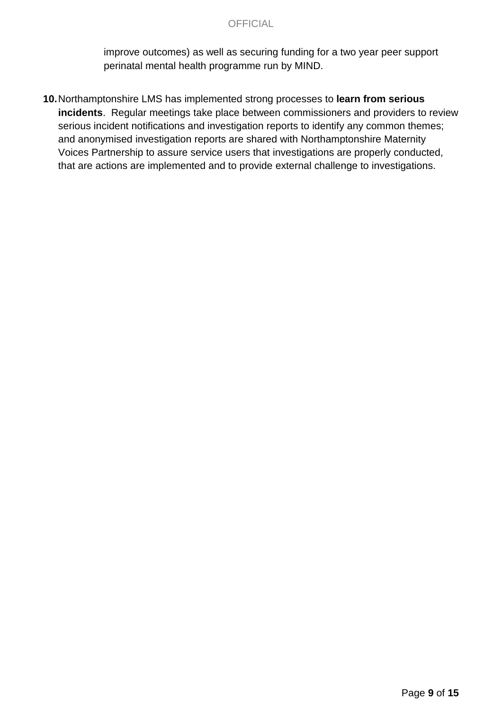#### **OFFICIAL**

improve outcomes) as well as securing funding for a two year peer support perinatal mental health programme run by MIND.

**10.**Northamptonshire LMS has implemented strong processes to **learn from serious incidents**. Regular meetings take place between commissioners and providers to review serious incident notifications and investigation reports to identify any common themes; and anonymised investigation reports are shared with Northamptonshire Maternity Voices Partnership to assure service users that investigations are properly conducted, that are actions are implemented and to provide external challenge to investigations.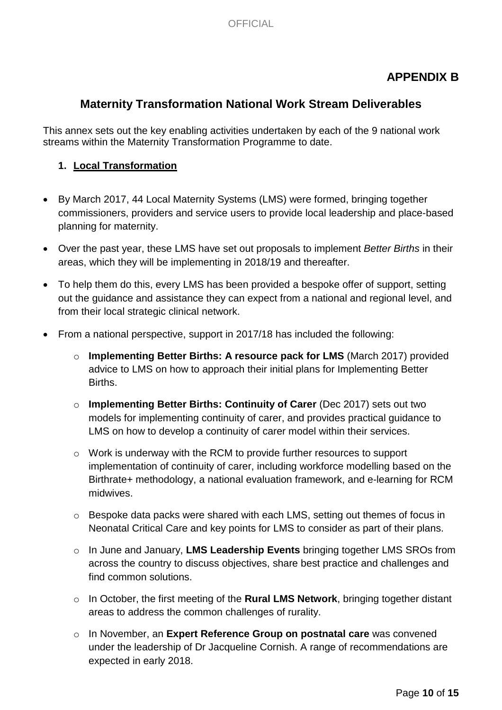## **APPENDIX B**

## **Maternity Transformation National Work Stream Deliverables**

This annex sets out the key enabling activities undertaken by each of the 9 national work streams within the Maternity Transformation Programme to date.

### **1. Local Transformation**

- By March 2017, 44 Local Maternity Systems (LMS) were formed, bringing together commissioners, providers and service users to provide local leadership and place-based planning for maternity.
- Over the past year, these LMS have set out proposals to implement *Better Births* in their areas, which they will be implementing in 2018/19 and thereafter.
- To help them do this, every LMS has been provided a bespoke offer of support, setting out the guidance and assistance they can expect from a national and regional level, and from their local strategic clinical network.
- From a national perspective, support in 2017/18 has included the following:
	- o **Implementing Better Births: A resource pack for LMS** (March 2017) provided advice to LMS on how to approach their initial plans for Implementing Better Births.
	- o **Implementing Better Births: Continuity of Carer** (Dec 2017) sets out two models for implementing continuity of carer, and provides practical guidance to LMS on how to develop a continuity of carer model within their services.
	- o Work is underway with the RCM to provide further resources to support implementation of continuity of carer, including workforce modelling based on the Birthrate+ methodology, a national evaluation framework, and e-learning for RCM midwives.
	- o Bespoke data packs were shared with each LMS, setting out themes of focus in Neonatal Critical Care and key points for LMS to consider as part of their plans.
	- o In June and January, **LMS Leadership Events** bringing together LMS SROs from across the country to discuss objectives, share best practice and challenges and find common solutions.
	- o In October, the first meeting of the **Rural LMS Network**, bringing together distant areas to address the common challenges of rurality.
	- o In November, an **Expert Reference Group on postnatal care** was convened under the leadership of Dr Jacqueline Cornish. A range of recommendations are expected in early 2018.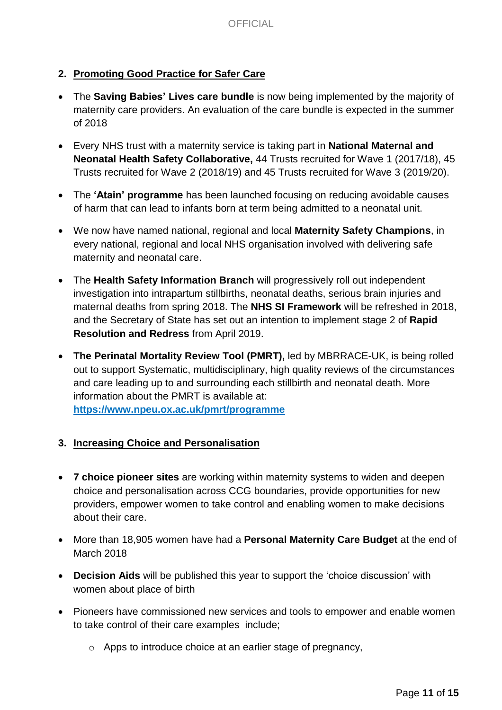### **2. Promoting Good Practice for Safer Care**

- The **Saving Babies' Lives care bundle** is now being implemented by the majority of maternity care providers. An evaluation of the care bundle is expected in the summer of 2018
- Every NHS trust with a maternity service is taking part in **National Maternal and Neonatal Health Safety Collaborative,** 44 Trusts recruited for Wave 1 (2017/18), 45 Trusts recruited for Wave 2 (2018/19) and 45 Trusts recruited for Wave 3 (2019/20).
- The **'Atain' programme** has been launched focusing on reducing avoidable causes of harm that can lead to infants born at term being admitted to a neonatal unit.
- We now have named national, regional and local **Maternity Safety Champions**, in every national, regional and local NHS organisation involved with delivering safe maternity and neonatal care.
- The **Health Safety Information Branch** will progressively roll out independent investigation into intrapartum stillbirths, neonatal deaths, serious brain injuries and maternal deaths from spring 2018. The **NHS SI Framework** will be refreshed in 2018, and the Secretary of State has set out an intention to implement stage 2 of **Rapid Resolution and Redress** from April 2019.
- **The Perinatal Mortality Review Tool (PMRT),** led by MBRRACE-UK, is being rolled out to support Systematic, multidisciplinary, high quality reviews of the circumstances and care leading up to and surrounding each stillbirth and neonatal death. More information about the PMRT is available at:

**<https://www.npeu.ox.ac.uk/pmrt/programme>**

#### **3. Increasing Choice and Personalisation**

- **7 choice pioneer sites** are working within maternity systems to widen and deepen choice and personalisation across CCG boundaries, provide opportunities for new providers, empower women to take control and enabling women to make decisions about their care.
- More than 18,905 women have had a **Personal Maternity Care Budget** at the end of March 2018
- **Decision Aids** will be published this year to support the 'choice discussion' with women about place of birth
- Pioneers have commissioned new services and tools to empower and enable women to take control of their care examples include;
	- o Apps to introduce choice at an earlier stage of pregnancy,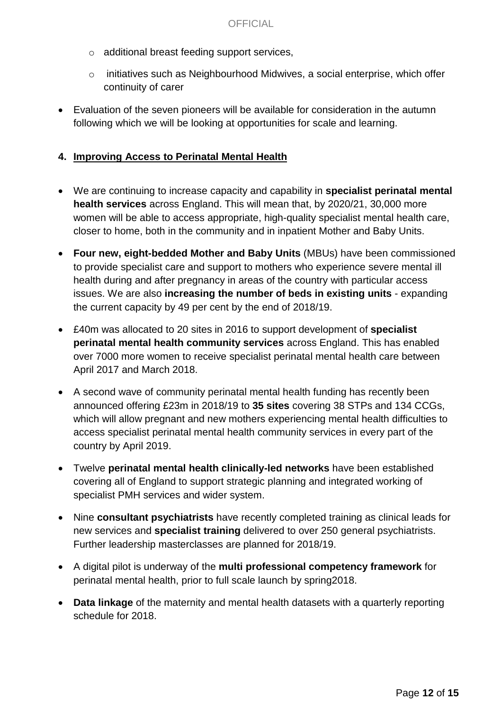- o additional breast feeding support services,
- o initiatives such as Neighbourhood Midwives, a social enterprise, which offer continuity of carer
- Evaluation of the seven pioneers will be available for consideration in the autumn following which we will be looking at opportunities for scale and learning.

### **4. Improving Access to Perinatal Mental Health**

- We are continuing to increase capacity and capability in **specialist perinatal mental health services** across England. This will mean that, by 2020/21, 30,000 more women will be able to access appropriate, high-quality specialist mental health care, closer to home, both in the community and in inpatient Mother and Baby Units.
- **Four new, eight-bedded Mother and Baby Units** (MBUs) have been commissioned to provide specialist care and support to mothers who experience severe mental ill health during and after pregnancy in areas of the country with particular access issues. We are also **increasing the number of beds in existing units** - expanding the current capacity by 49 per cent by the end of 2018/19.
- £40m was allocated to 20 sites in 2016 to support development of **specialist perinatal mental health community services** across England. This has enabled over 7000 more women to receive specialist perinatal mental health care between April 2017 and March 2018.
- A second wave of community perinatal mental health funding has recently been announced offering £23m in 2018/19 to **35 sites** covering 38 STPs and 134 CCGs, which will allow pregnant and new mothers experiencing mental health difficulties to access specialist perinatal mental health community services in every part of the country by April 2019.
- Twelve **perinatal mental health clinically-led networks** have been established covering all of England to support strategic planning and integrated working of specialist PMH services and wider system.
- Nine **consultant psychiatrists** have recently completed training as clinical leads for new services and **specialist training** delivered to over 250 general psychiatrists. Further leadership masterclasses are planned for 2018/19.
- A digital pilot is underway of the **multi professional competency framework** for perinatal mental health, prior to full scale launch by spring2018.
- **Data linkage** of the maternity and mental health datasets with a quarterly reporting schedule for 2018.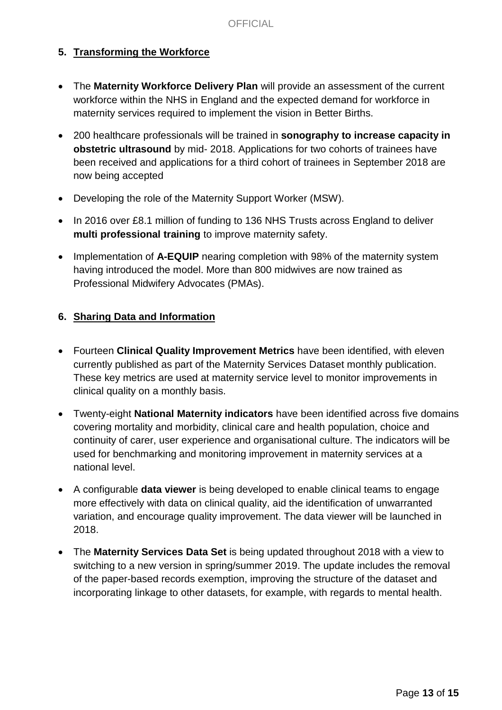### **5. Transforming the Workforce**

- The **Maternity Workforce Delivery Plan** will provide an assessment of the current workforce within the NHS in England and the expected demand for workforce in maternity services required to implement the vision in Better Births.
- 200 healthcare professionals will be trained in **sonography to increase capacity in obstetric ultrasound** by mid- 2018. Applications for two cohorts of trainees have been received and applications for a third cohort of trainees in September 2018 are now being accepted
- Developing the role of the Maternity Support Worker (MSW).
- In 2016 over £8.1 million of funding to 136 NHS Trusts across England to deliver **multi professional training** to improve maternity safety.
- Implementation of **A-EQUIP** nearing completion with 98% of the maternity system having introduced the model. More than 800 midwives are now trained as Professional Midwifery Advocates (PMAs).

### **6. Sharing Data and Information**

- Fourteen **Clinical Quality Improvement Metrics** have been identified, with eleven currently published as part of the Maternity Services Dataset monthly publication. These key metrics are used at maternity service level to monitor improvements in clinical quality on a monthly basis.
- Twenty-eight **National Maternity indicators** have been identified across five domains covering mortality and morbidity, clinical care and health population, choice and continuity of carer, user experience and organisational culture. The indicators will be used for benchmarking and monitoring improvement in maternity services at a national level.
- A configurable **data viewer** is being developed to enable clinical teams to engage more effectively with data on clinical quality, aid the identification of unwarranted variation, and encourage quality improvement. The data viewer will be launched in 2018.
- The **Maternity Services Data Set** is being updated throughout 2018 with a view to switching to a new version in spring/summer 2019. The update includes the removal of the paper-based records exemption, improving the structure of the dataset and incorporating linkage to other datasets, for example, with regards to mental health.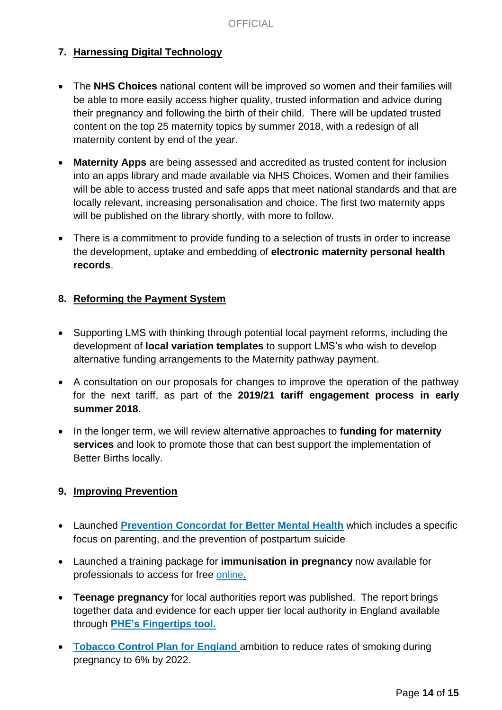### **7. Harnessing Digital Technology**

- The **NHS Choices** national content will be improved so women and their families will be able to more easily access higher quality, trusted information and advice during their pregnancy and following the birth of their child. There will be updated trusted content on the top 25 maternity topics by summer 2018, with a redesign of all maternity content by end of the year.
- **Maternity Apps** are being assessed and accredited as trusted content for inclusion into an apps library and made available via NHS Choices. Women and their families will be able to access trusted and safe apps that meet national standards and that are locally relevant, increasing personalisation and choice. The first two maternity apps will be published on the library shortly, with more to follow.
- There is a commitment to provide funding to a selection of trusts in order to increase the development, uptake and embedding of **electronic maternity personal health records**.

### **8. Reforming the Payment System**

- Supporting LMS with thinking through potential local payment reforms, including the development of **local variation templates** to support LMS's who wish to develop alternative funding arrangements to the Maternity pathway payment.
- A consultation on our proposals for changes to improve the operation of the pathway for the next tariff, as part of the **2019/21 tariff engagement process in early summer 2018**.
- In the longer term, we will review alternative approaches to **funding for maternity services** and look to promote those that can best support the implementation of Better Births locally.

### **9. Improving Prevention**

- Launched **[Prevention](https://www.gov.uk/government/collections/prevention-concordat-for-better-mental-health) Concordat for Better Mental Health** which includes a specific focus on parenting, and the prevention of postpartum suicide
- Launched a training package for **immunisation in pregnancy** now available for professionals to access for free [online.](https://www.gov.uk/government/collections/immunisation#immunisation-training-resources-for-healthcare-professionals)
- **Teenage pregnancy** for local authorities report was published. The report brings together data and evidence for each upper tier local authority in England available through **PHE's [Fingertips](https://fingertips.phe.org.uk/profile-group/child-health/profile/child-health-young-people/data#page/13/) tool.**
- **[Tobacco](https://www.gov.uk/government/publications/towards-a-smoke-free-generation-tobacco-control-plan-for-england) [Control](https://www.gov.uk/government/publications/towards-a-smoke-free-generation-tobacco-control-plan-for-england) Plan for [England](https://www.gov.uk/government/publications/towards-a-smoke-free-generation-tobacco-control-plan-for-england)** ambition to reduce rates of smoking during pregnancy to 6% by 2022.